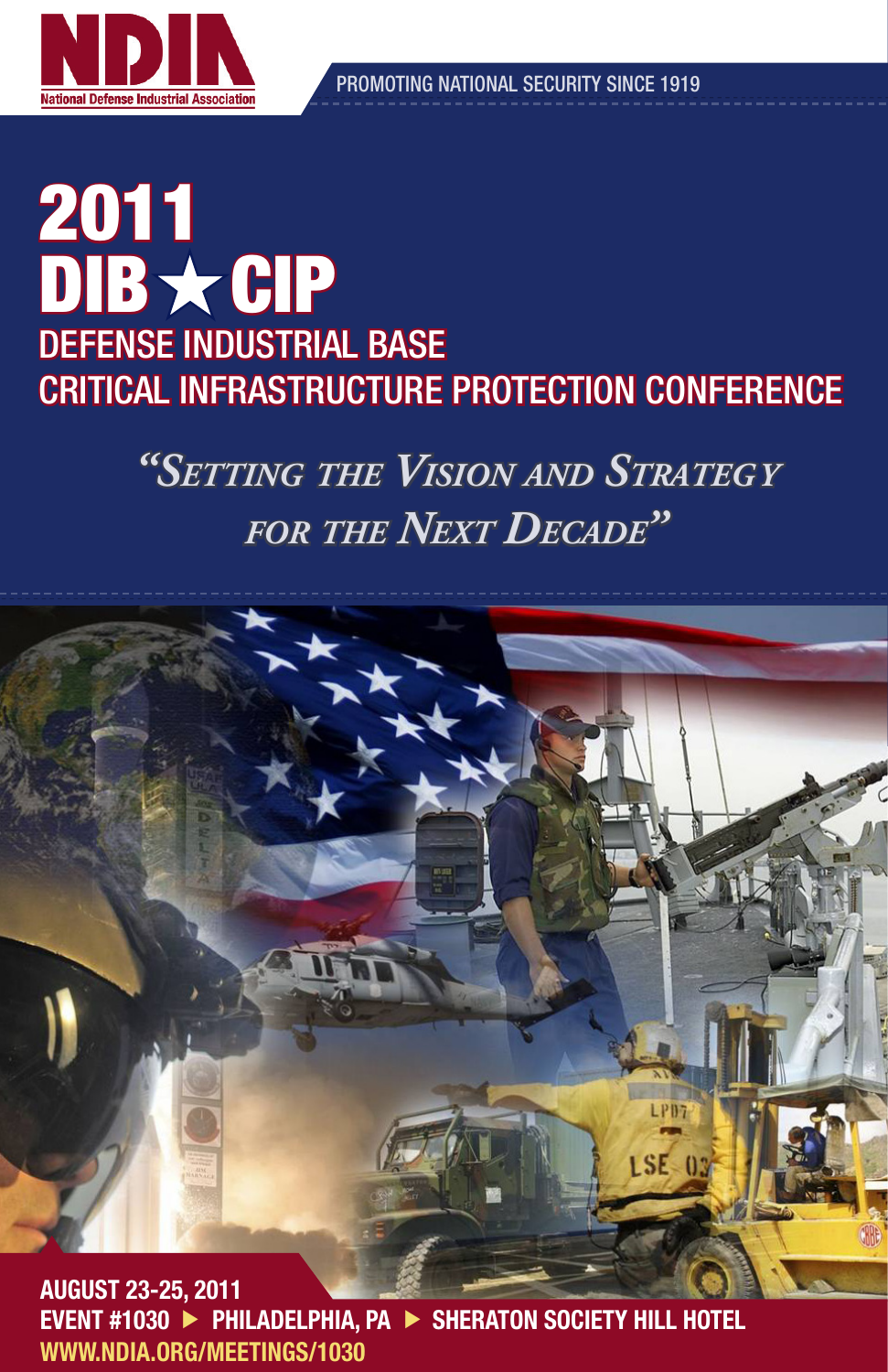

PROMOTING NATIONAL SECURITY SINCE 1919

AGENDA

## 2011 DIB \* CIP DEFENSE INDUSTRIAL BASE CRITICAL INFRASTRUCTURE PROTECTION CONFERENCE

*"Setting the Vision and Strategy for the Next Decade"*



EVENT #1030 ▶ PHILADELPHIA, PA ▶ SHERATON SOCIETY HILL HOTEL WWW.NDIA.ORG/MEETINGS/1030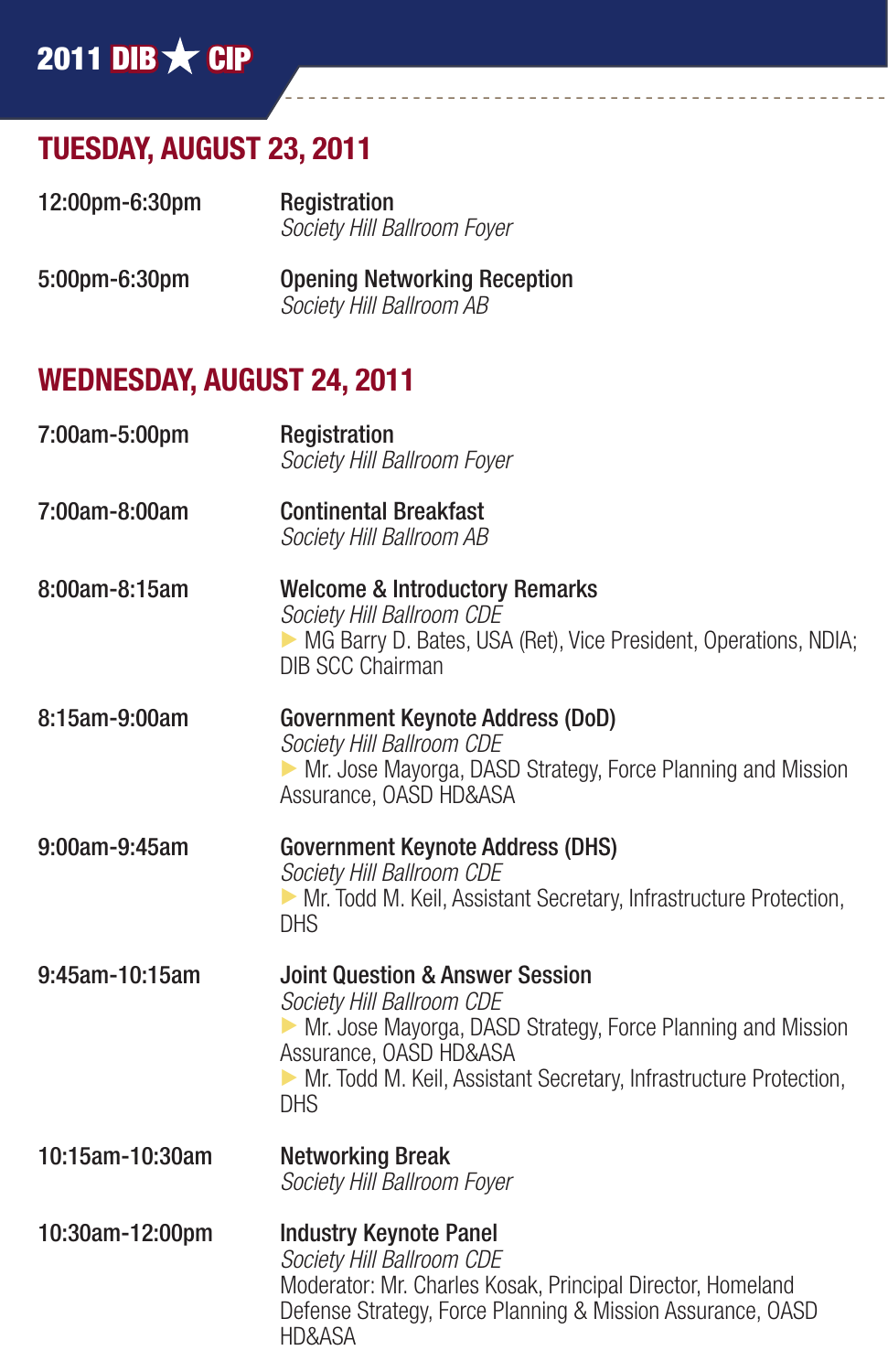## 2011 DIB  $\bigstar$  CIP

## TUESDAY, AUGUST 23, 2011

| 12:00pm-6:30pm | Registration                |
|----------------|-----------------------------|
|                | Society Hill Ballroom Foyer |

5:00pm-6:30pm Opening Networking Reception *Society Hill Ballroom AB*

### WEDNESDAY, AUGUST 24, 2011

| 7:00am-5:00pm   | Registration<br>Society Hill Ballroom Foyer                                                                                                                                                                                                             |
|-----------------|---------------------------------------------------------------------------------------------------------------------------------------------------------------------------------------------------------------------------------------------------------|
| 7:00am-8:00am   | <b>Continental Breakfast</b><br>Society Hill Ballroom AB                                                                                                                                                                                                |
| 8:00am-8:15am   | <b>Welcome &amp; Introductory Remarks</b><br>Society Hill Ballroom CDE<br>• MG Barry D. Bates, USA (Ret), Vice President, Operations, NDIA;<br><b>DIB SCC Chairman</b>                                                                                  |
| 8:15am-9:00am   | <b>Government Keynote Address (DoD)</b><br>Society Hill Ballroom CDE<br>• Mr. Jose Mayorga, DASD Strategy, Force Planning and Mission<br>Assurance, OASD HD&ASA                                                                                         |
| 9:00am-9:45am   | <b>Government Keynote Address (DHS)</b><br>Society Hill Ballroom CDE<br>• Mr. Todd M. Keil, Assistant Secretary, Infrastructure Protection,<br><b>DHS</b>                                                                                               |
| 9:45am-10:15am  | <b>Joint Question &amp; Answer Session</b><br>Society Hill Ballroom CDE<br>• Mr. Jose Mayorga, DASD Strategy, Force Planning and Mission<br>Assurance, OASD HD&ASA<br>• Mr. Todd M. Keil, Assistant Secretary, Infrastructure Protection,<br><b>DHS</b> |
| 10:15am-10:30am | <b>Networking Break</b><br>Society Hill Ballroom Foyer                                                                                                                                                                                                  |
| 10:30am-12:00pm | <b>Industry Keynote Panel</b><br>Society Hill Ballroom CDE<br>Moderator: Mr. Charles Kosak, Principal Director, Homeland<br>Defense Strategy, Force Planning & Mission Assurance, OASD<br>HD&ASA                                                        |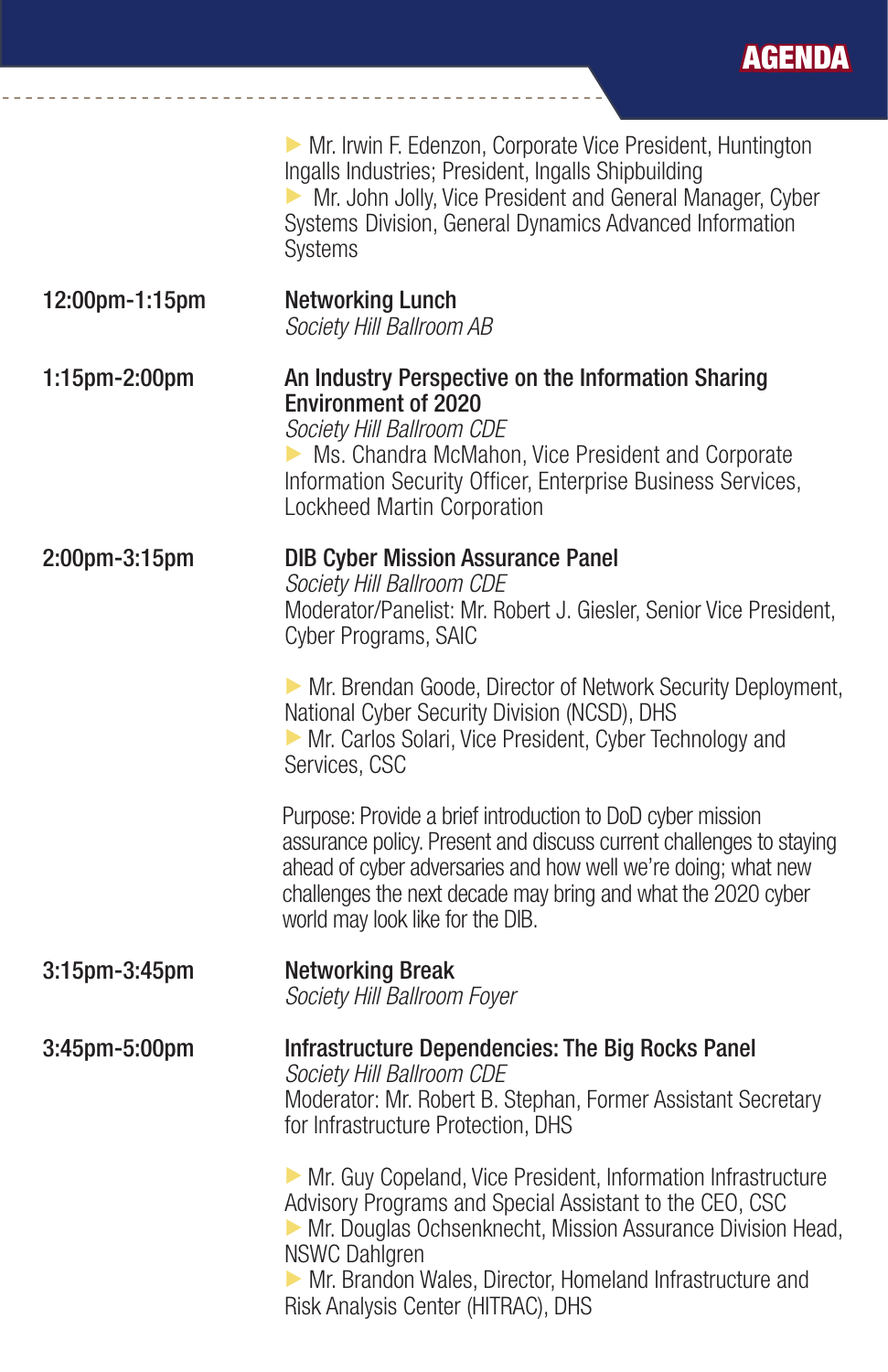|                | • Mr. Irwin F. Edenzon, Corporate Vice President, Huntington<br>Ingalls Industries; President, Ingalls Shipbuilding<br>Mr. John Jolly, Vice President and General Manager, Cyber<br>Systems Division, General Dynamics Advanced Information<br>Systems                                                            |
|----------------|-------------------------------------------------------------------------------------------------------------------------------------------------------------------------------------------------------------------------------------------------------------------------------------------------------------------|
| 12:00pm-1:15pm | <b>Networking Lunch</b><br>Society Hill Ballroom AB                                                                                                                                                                                                                                                               |
| 1:15pm-2:00pm  | An Industry Perspective on the Information Sharing<br><b>Environment of 2020</b><br>Society Hill Ballroom CDE<br>Ms. Chandra McMahon, Vice President and Corporate<br>Information Security Officer, Enterprise Business Services,<br>Lockheed Martin Corporation                                                  |
| 2:00pm-3:15pm  | <b>DIB Cyber Mission Assurance Panel</b><br>Society Hill Ballroom CDE<br>Moderator/Panelist: Mr. Robert J. Giesler, Senior Vice President,<br>Cyber Programs, SAIC                                                                                                                                                |
|                | • Mr. Brendan Goode, Director of Network Security Deployment,<br>National Cyber Security Division (NCSD), DHS<br>Mr. Carlos Solari, Vice President, Cyber Technology and<br>Services, CSC                                                                                                                         |
|                | Purpose: Provide a brief introduction to DoD cyber mission<br>assurance policy. Present and discuss current challenges to staying<br>ahead of cyber adversaries and how well we're doing; what new<br>challenges the next decade may bring and what the 2020 cyber<br>world may look like for the DIB.            |
| 3:15pm-3:45pm  | <b>Networking Break</b><br>Society Hill Ballroom Foyer                                                                                                                                                                                                                                                            |
| 3:45pm-5:00pm  | <b>Infrastructure Dependencies: The Big Rocks Panel</b><br>Society Hill Ballroom CDE<br>Moderator: Mr. Robert B. Stephan, Former Assistant Secretary<br>for Infrastructure Protection, DHS                                                                                                                        |
|                | • Mr. Guy Copeland, Vice President, Information Infrastructure<br>Advisory Programs and Special Assistant to the CEO, CSC<br>Mr. Douglas Ochsenknecht, Mission Assurance Division Head,<br><b>NSWC Dahlgren</b><br>Mr. Brandon Wales, Director, Homeland Infrastructure and<br>Risk Analysis Center (HITRAC), DHS |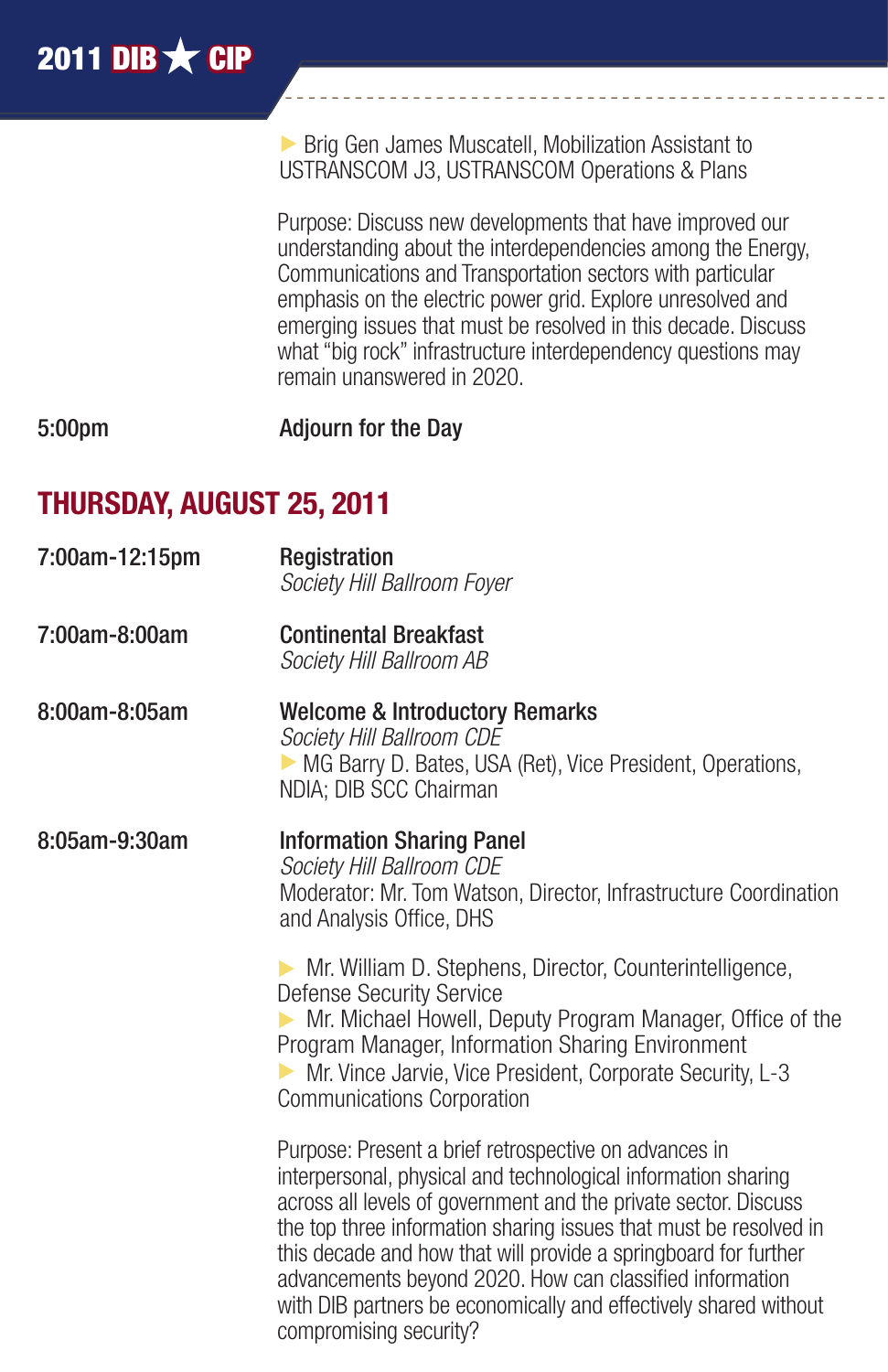$\triangleright$  Brig Gen James Muscatell, Mobilization Assistant to USTRANSCOM J3, USTRANSCOM Operations & Plans

Purpose: Discuss new developments that have improved our understanding about the interdependencies among the Energy, Communications and Transportation sectors with particular emphasis on the electric power grid. Explore unresolved and emerging issues that must be resolved in this decade. Discuss what "big rock" infrastructure interdependency questions may remain unanswered in 2020.

5:00pm Adjourn for the Day

## THURSDAY, AUGUST 25, 2011

- 7:00am-12:15pm Registration *Society Hill Ballroom Foyer*
- 7:00am-8:00am Continental Breakfast *Society Hill Ballroom AB*
- 8:00am-8:05am Welcome & Introductory Remarks *Society Hill Ballroom CDE*  $\triangleright$  MG Barry D. Bates, USA (Ret), Vice President, Operations, NDIA; DIB SCC Chairman
- 8:05am-9:30am Information Sharing Panel *Society Hill Ballroom CDE* Moderator: Mr. Tom Watson, Director, Infrastructure Coordination and Analysis Office, DHS

 $\triangleright$  Mr. William D. Stephens, Director, Counterintelligence, Defense Security Service  $\triangleright$  Mr. Michael Howell, Deputy Program Manager, Office of the Program Manager, Information Sharing Environment  $\triangleright$  Mr. Vince Jarvie, Vice President, Corporate Security, L-3 Communications Corporation

Purpose: Present a brief retrospective on advances in interpersonal, physical and technological information sharing across all levels of government and the private sector. Discuss the top three information sharing issues that must be resolved in this decade and how that will provide a springboard for further advancements beyond 2020. How can classified information with DIB partners be economically and effectively shared without compromising security?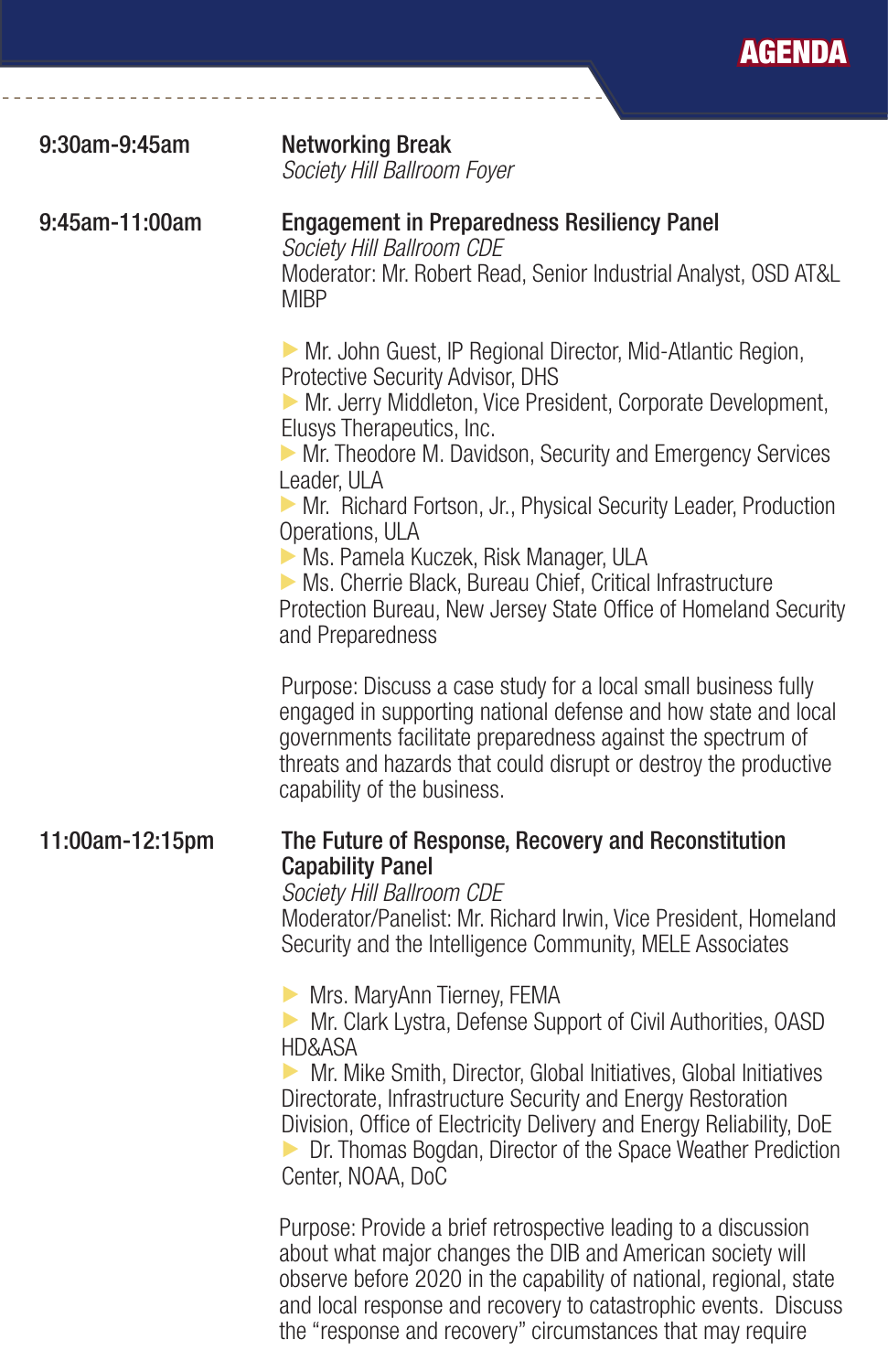| 9:30am-9:45am   | <b>Networking Break</b><br>Society Hill Ballroom Foyer                                                                                                                                                                                                                                                                                                                                                                                                                                                                                                   |
|-----------------|----------------------------------------------------------------------------------------------------------------------------------------------------------------------------------------------------------------------------------------------------------------------------------------------------------------------------------------------------------------------------------------------------------------------------------------------------------------------------------------------------------------------------------------------------------|
| 9:45am-11:00am  | <b>Engagement in Preparedness Resiliency Panel</b><br>Society Hill Ballroom CDE<br>Moderator: Mr. Robert Read, Senior Industrial Analyst, OSD AT&L<br><b>MIBP</b>                                                                                                                                                                                                                                                                                                                                                                                        |
|                 | Mr. John Guest, IP Regional Director, Mid-Atlantic Region,<br>Protective Security Advisor, DHS<br>Mr. Jerry Middleton, Vice President, Corporate Development,<br>Elusys Therapeutics, Inc.<br>Mr. Theodore M. Davidson, Security and Emergency Services<br>Leader, ULA<br>Mr. Richard Fortson, Jr., Physical Security Leader, Production<br>Operations, ULA<br>Ms. Pamela Kuczek, Risk Manager, ULA<br>• Ms. Cherrie Black, Bureau Chief, Critical Infrastructure<br>Protection Bureau, New Jersey State Office of Homeland Security<br>and Preparedness |
|                 | Purpose: Discuss a case study for a local small business fully<br>engaged in supporting national defense and how state and local<br>governments facilitate preparedness against the spectrum of<br>threats and hazards that could disrupt or destroy the productive<br>capability of the business.                                                                                                                                                                                                                                                       |
| 11:00am-12:15pm | The Future of Response, Recovery and Reconstitution<br><b>Capability Panel</b><br>Society Hill Ballroom CDE<br>Moderator/Panelist: Mr. Richard Irwin, Vice President, Homeland<br>Security and the Intelligence Community, MELE Associates                                                                                                                                                                                                                                                                                                               |
|                 | Mrs. MaryAnn Tierney, FEMA<br>Mr. Clark Lystra, Defense Support of Civil Authorities, OASD<br>HD&ASA<br>• Mr. Mike Smith, Director, Global Initiatives, Global Initiatives<br>Directorate, Infrastructure Security and Energy Restoration<br>Division, Office of Electricity Delivery and Energy Reliability, DoE<br><b>Dr. Thomas Bogdan, Director of the Space Weather Prediction</b><br>Center, NOAA, DoC                                                                                                                                             |
|                 | Purpose: Provide a brief retrospective leading to a discussion<br>about what major changes the DIB and American society will<br>observe before 2020 in the capability of national, regional, state<br>and local response and recovery to catastrophic events. Discuss                                                                                                                                                                                                                                                                                    |

the "response and recovery" circumstances that may require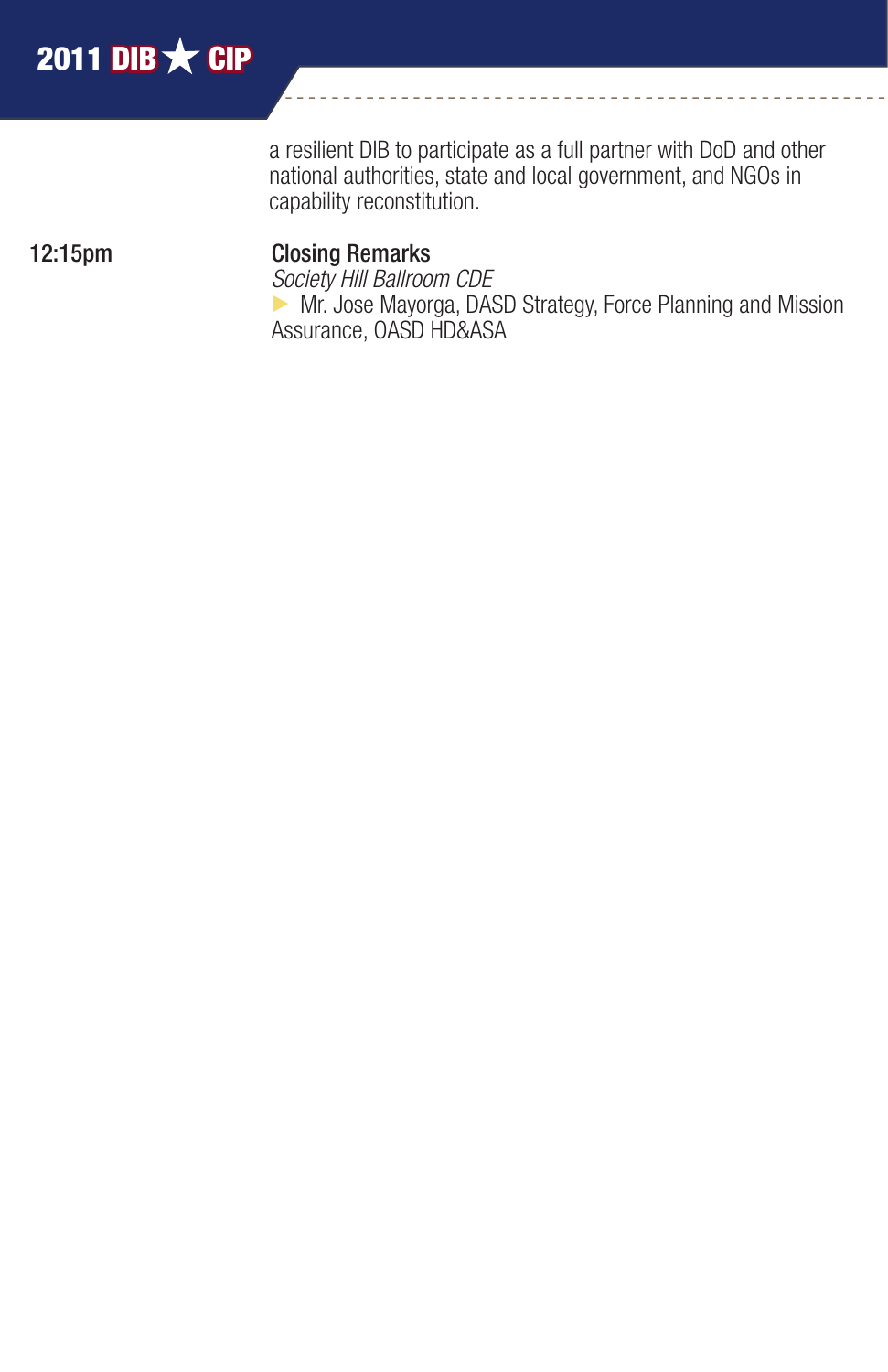a resilient DIB to participate as a full partner with DoD and other national authorities, state and local government, and NGOs in capability reconstitution.

#### 12:15pm Closing Remarks

 *Society Hill Ballroom CDE*  $\triangleright$  Mr. Jose Mayorga, DASD Strategy, Force Planning and Mission Assurance, OASD HD&ASA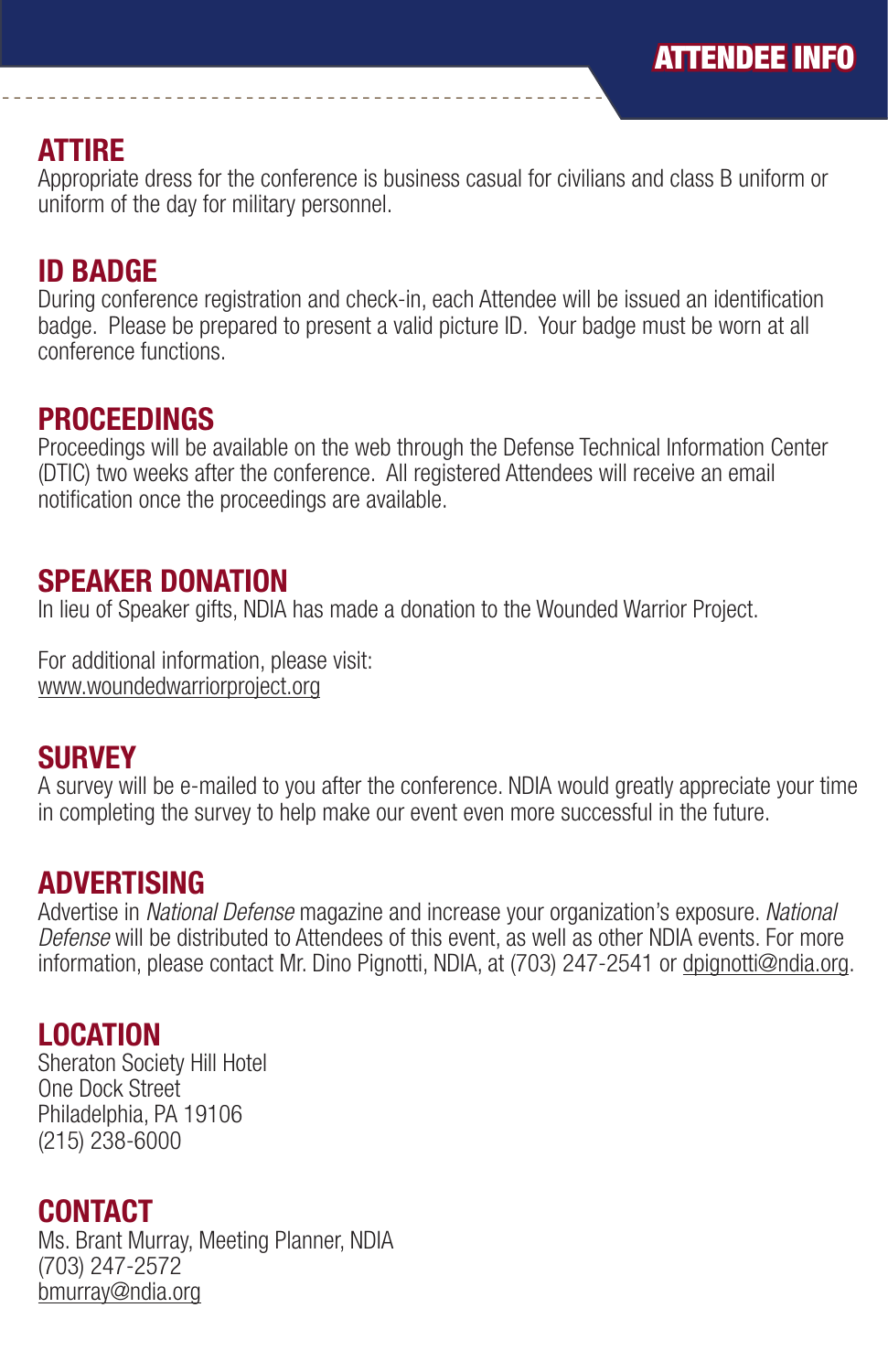#### ATTIRE

Appropriate dress for the conference is business casual for civilians and class B uniform or uniform of the day for military personnel.

#### ID BADGE

During conference registration and check-in, each Attendee will be issued an identification badge. Please be prepared to present a valid picture ID. Your badge must be worn at all conference functions.

#### PROCEEDINGS

Proceedings will be available on the web through the Defense Technical Information Center (DTIC) two weeks after the conference. All registered Attendees will receive an email notification once the proceedings are available.

#### SPEAKER DONATION

In lieu of Speaker gifts, NDIA has made a donation to the Wounded Warrior Project.

For additional information, please visit: www.woundedwarriorproject.org

#### **SURVEY**

A survey will be e-mailed to you after the conference. NDIA would greatly appreciate your time in completing the survey to help make our event even more successful in the future.

#### ADVERTISING

Advertise in *National Defense* magazine and increase your organization's exposure. *National Defense* will be distributed to Attendees of this event, as well as other NDIA events. For more information, please contact Mr. Dino Pignotti, NDIA, at (703) 247-2541 or dpignotti@ndia.org.

#### LOCATION

Sheraton Society Hill Hotel One Dock Street Philadelphia, PA 19106 (215) 238-6000

#### CONTACT

Ms. Brant Murray, Meeting Planner, NDIA (703) 247-2572 bmurray@ndia.org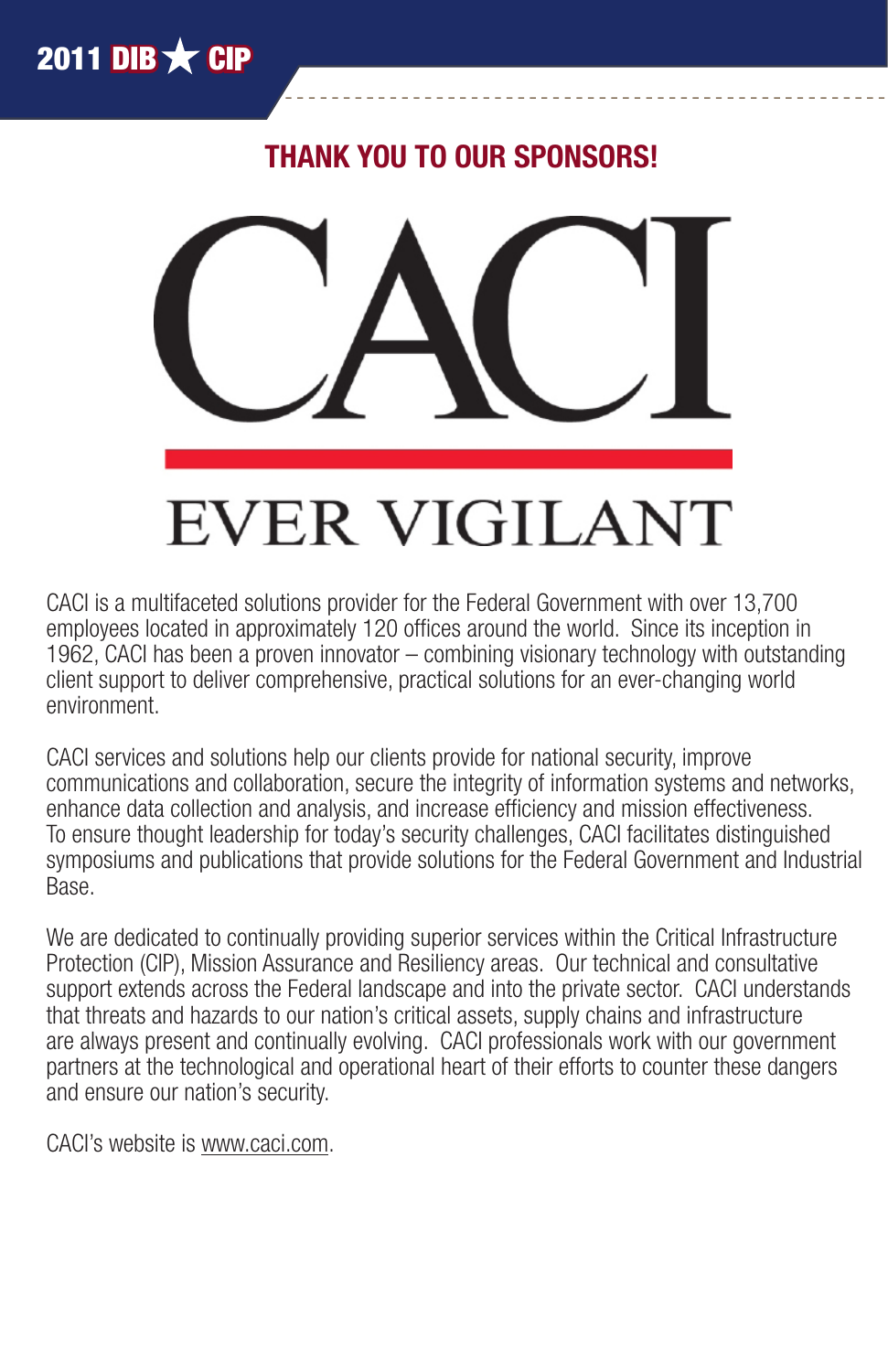## THANK YOU TO OUR SPONSORS!



# **EVER VIGILANT**

CACI is a multifaceted solutions provider for the Federal Government with over 13,700 employees located in approximately 120 offices around the world. Since its inception in 1962, CACI has been a proven innovator – combining visionary technology with outstanding client support to deliver comprehensive, practical solutions for an ever-changing world environment.

CACI services and solutions help our clients provide for national security, improve communications and collaboration, secure the integrity of information systems and networks, enhance data collection and analysis, and increase efficiency and mission effectiveness. To ensure thought leadership for today's security challenges, CACI facilitates distinguished symposiums and publications that provide solutions for the Federal Government and Industrial Base.

We are dedicated to continually providing superior services within the Critical Infrastructure Protection (CIP), Mission Assurance and Resiliency areas. Our technical and consultative support extends across the Federal landscape and into the private sector. CACI understands that threats and hazards to our nation's critical assets, supply chains and infrastructure are always present and continually evolving. CACI professionals work with our government partners at the technological and operational heart of their efforts to counter these dangers and ensure our nation's security.

CACI's website is www.caci.com.